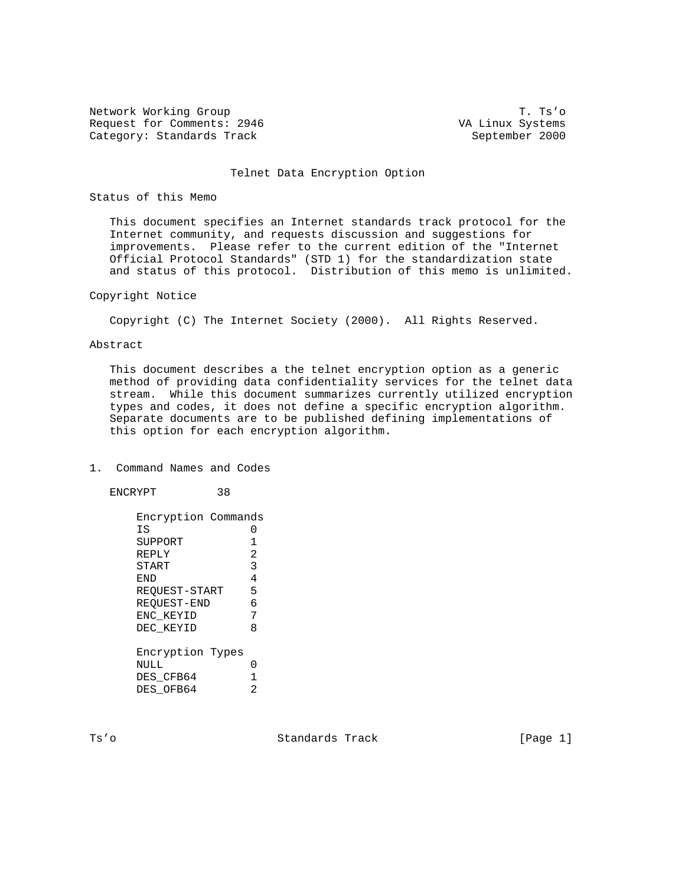Network Working Group T. Ts'o Request for Comments: 2946 VA Linux Systems Category: Standards Track September 2000

#### Telnet Data Encryption Option

# Status of this Memo

 This document specifies an Internet standards track protocol for the Internet community, and requests discussion and suggestions for improvements. Please refer to the current edition of the "Internet Official Protocol Standards" (STD 1) for the standardization state and status of this protocol. Distribution of this memo is unlimited.

### Copyright Notice

Copyright (C) The Internet Society (2000). All Rights Reserved.

### Abstract

 This document describes a the telnet encryption option as a generic method of providing data confidentiality services for the telnet data stream. While this document summarizes currently utilized encryption types and codes, it does not define a specific encryption algorithm. Separate documents are to be published defining implementations of this option for each encryption algorithm.

# 1. Command Names and Codes

ENCRYPT 38

 Encryption Commands IS 0 SUPPORT 1<br>REPLY 2 REPLY START 3 END 4 REQUEST-START 5 REQUEST-END 6<br>ENC KEYID 7 ENC\_KEYID 7 DEC\_KEYID 8 Encryption Types NULL 0 DES\_CFB64 1 DES\_OFB64 2

Ts'o Standards Track [Page 1]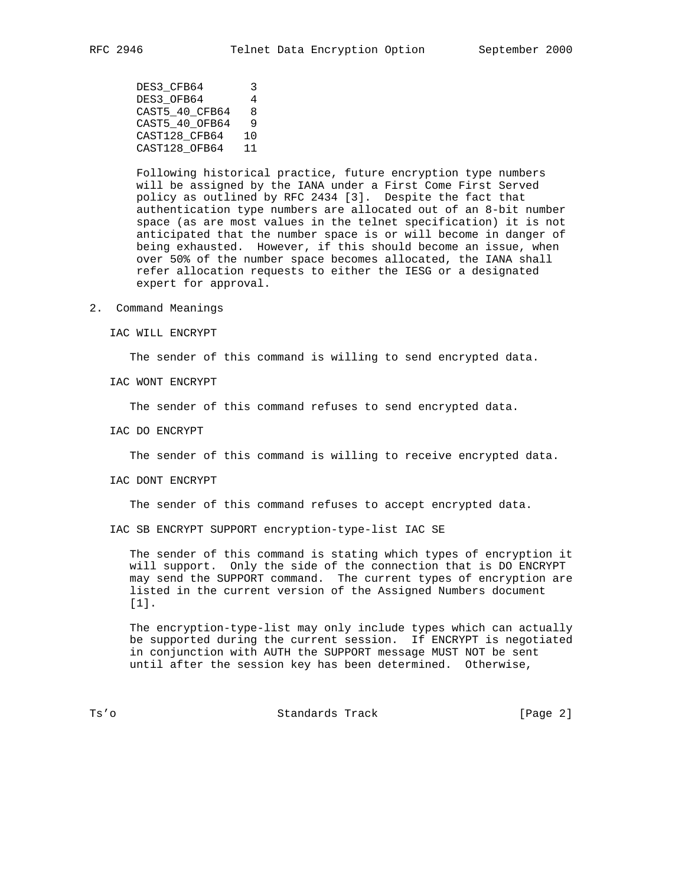DES3\_CFB64 3 DES3\_OFB64 4 CAST5\_40\_CFB64 8 CAST5\_40\_OFB64 9 CAST128\_CFB64 10 CAST128\_OFB64 11

 Following historical practice, future encryption type numbers will be assigned by the IANA under a First Come First Served policy as outlined by RFC 2434 [3]. Despite the fact that authentication type numbers are allocated out of an 8-bit number space (as are most values in the telnet specification) it is not anticipated that the number space is or will become in danger of being exhausted. However, if this should become an issue, when over 50% of the number space becomes allocated, the IANA shall refer allocation requests to either the IESG or a designated expert for approval.

2. Command Meanings

IAC WILL ENCRYPT

The sender of this command is willing to send encrypted data.

IAC WONT ENCRYPT

The sender of this command refuses to send encrypted data.

IAC DO ENCRYPT

The sender of this command is willing to receive encrypted data.

IAC DONT ENCRYPT

The sender of this command refuses to accept encrypted data.

IAC SB ENCRYPT SUPPORT encryption-type-list IAC SE

 The sender of this command is stating which types of encryption it will support. Only the side of the connection that is DO ENCRYPT may send the SUPPORT command. The current types of encryption are listed in the current version of the Assigned Numbers document [1].

 The encryption-type-list may only include types which can actually be supported during the current session. If ENCRYPT is negotiated in conjunction with AUTH the SUPPORT message MUST NOT be sent until after the session key has been determined. Otherwise,

Ts'o Standards Track [Page 2]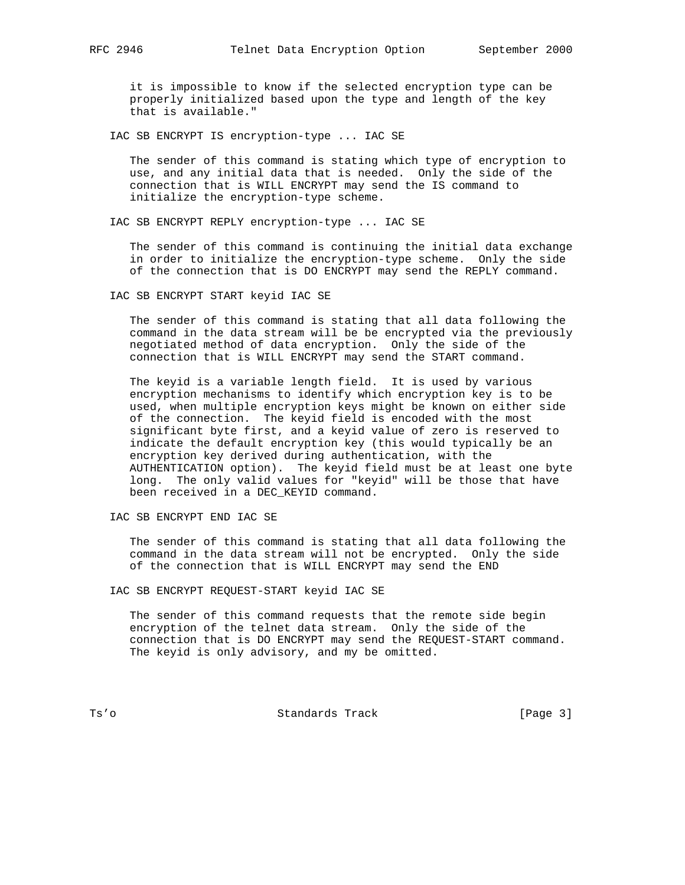it is impossible to know if the selected encryption type can be properly initialized based upon the type and length of the key that is available."

IAC SB ENCRYPT IS encryption-type ... IAC SE

 The sender of this command is stating which type of encryption to use, and any initial data that is needed. Only the side of the connection that is WILL ENCRYPT may send the IS command to initialize the encryption-type scheme.

IAC SB ENCRYPT REPLY encryption-type ... IAC SE

 The sender of this command is continuing the initial data exchange in order to initialize the encryption-type scheme. Only the side of the connection that is DO ENCRYPT may send the REPLY command.

IAC SB ENCRYPT START keyid IAC SE

 The sender of this command is stating that all data following the command in the data stream will be be encrypted via the previously negotiated method of data encryption. Only the side of the connection that is WILL ENCRYPT may send the START command.

 The keyid is a variable length field. It is used by various encryption mechanisms to identify which encryption key is to be used, when multiple encryption keys might be known on either side of the connection. The keyid field is encoded with the most significant byte first, and a keyid value of zero is reserved to indicate the default encryption key (this would typically be an encryption key derived during authentication, with the AUTHENTICATION option). The keyid field must be at least one byte long. The only valid values for "keyid" will be those that have been received in a DEC\_KEYID command.

IAC SB ENCRYPT END IAC SE

 The sender of this command is stating that all data following the command in the data stream will not be encrypted. Only the side of the connection that is WILL ENCRYPT may send the END

IAC SB ENCRYPT REQUEST-START keyid IAC SE

 The sender of this command requests that the remote side begin encryption of the telnet data stream. Only the side of the connection that is DO ENCRYPT may send the REQUEST-START command. The keyid is only advisory, and my be omitted.

Ts'o Standards Track [Page 3]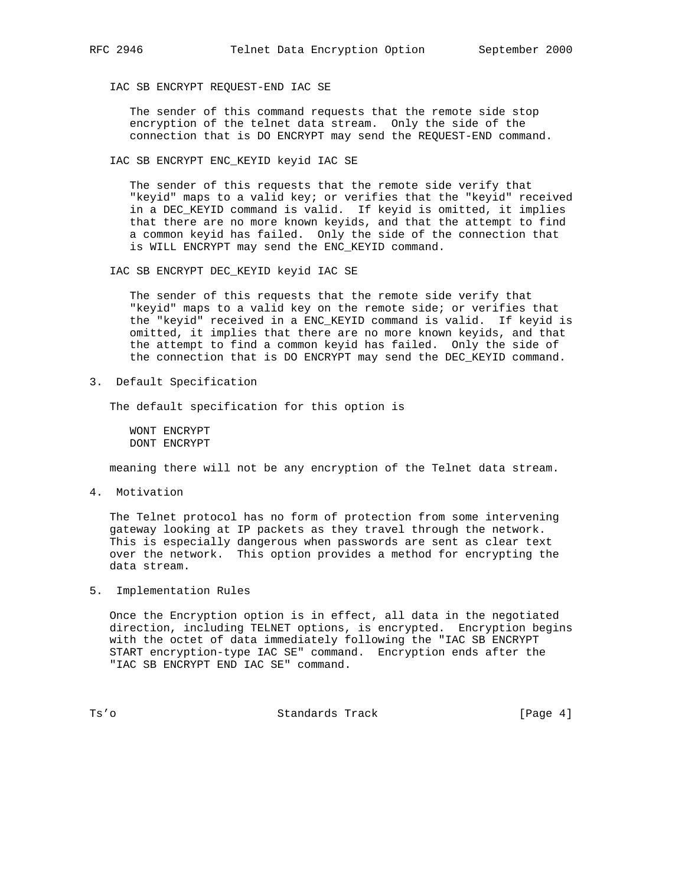IAC SB ENCRYPT REQUEST-END IAC SE

 The sender of this command requests that the remote side stop encryption of the telnet data stream. Only the side of the connection that is DO ENCRYPT may send the REQUEST-END command.

IAC SB ENCRYPT ENC\_KEYID keyid IAC SE

 The sender of this requests that the remote side verify that "keyid" maps to a valid key; or verifies that the "keyid" received in a DEC\_KEYID command is valid. If keyid is omitted, it implies that there are no more known keyids, and that the attempt to find a common keyid has failed. Only the side of the connection that is WILL ENCRYPT may send the ENC\_KEYID command.

IAC SB ENCRYPT DEC\_KEYID keyid IAC SE

 The sender of this requests that the remote side verify that "keyid" maps to a valid key on the remote side; or verifies that the "keyid" received in a ENC\_KEYID command is valid. If keyid is omitted, it implies that there are no more known keyids, and that the attempt to find a common keyid has failed. Only the side of the connection that is DO ENCRYPT may send the DEC\_KEYID command.

3. Default Specification

The default specification for this option is

 WONT ENCRYPT DONT ENCRYPT

meaning there will not be any encryption of the Telnet data stream.

4. Motivation

 The Telnet protocol has no form of protection from some intervening gateway looking at IP packets as they travel through the network. This is especially dangerous when passwords are sent as clear text over the network. This option provides a method for encrypting the data stream.

5. Implementation Rules

 Once the Encryption option is in effect, all data in the negotiated direction, including TELNET options, is encrypted. Encryption begins with the octet of data immediately following the "IAC SB ENCRYPT START encryption-type IAC SE" command. Encryption ends after the "IAC SB ENCRYPT END IAC SE" command.

Ts'o Standards Track [Page 4]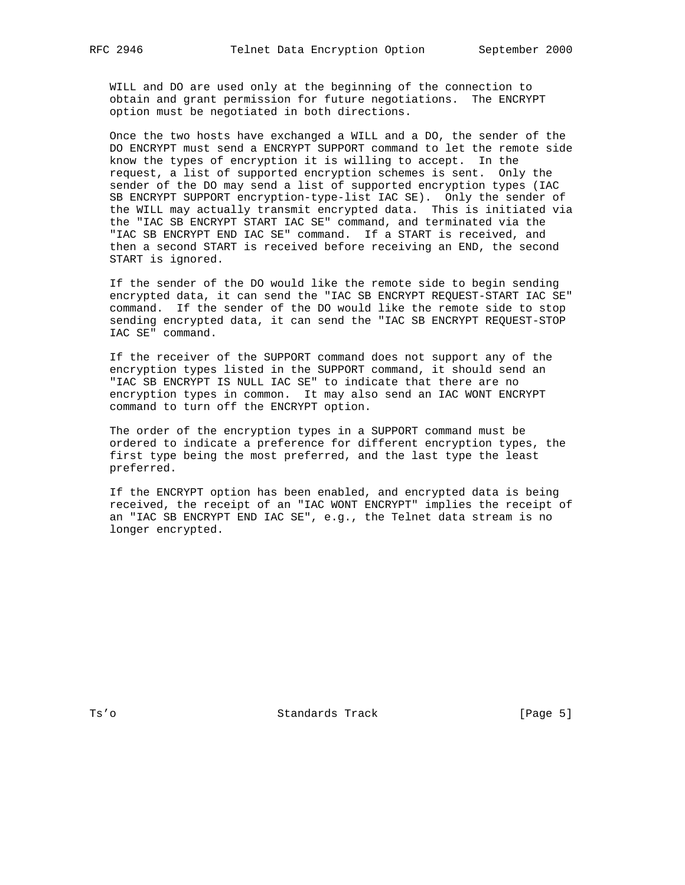WILL and DO are used only at the beginning of the connection to obtain and grant permission for future negotiations. The ENCRYPT option must be negotiated in both directions.

 Once the two hosts have exchanged a WILL and a DO, the sender of the DO ENCRYPT must send a ENCRYPT SUPPORT command to let the remote side know the types of encryption it is willing to accept. In the request, a list of supported encryption schemes is sent. Only the sender of the DO may send a list of supported encryption types (IAC SB ENCRYPT SUPPORT encryption-type-list IAC SE). Only the sender of the WILL may actually transmit encrypted data. This is initiated via the "IAC SB ENCRYPT START IAC SE" command, and terminated via the "IAC SB ENCRYPT END IAC SE" command. If a START is received, and then a second START is received before receiving an END, the second START is ignored.

 If the sender of the DO would like the remote side to begin sending encrypted data, it can send the "IAC SB ENCRYPT REQUEST-START IAC SE" command. If the sender of the DO would like the remote side to stop sending encrypted data, it can send the "IAC SB ENCRYPT REQUEST-STOP IAC SE" command.

 If the receiver of the SUPPORT command does not support any of the encryption types listed in the SUPPORT command, it should send an "IAC SB ENCRYPT IS NULL IAC SE" to indicate that there are no encryption types in common. It may also send an IAC WONT ENCRYPT command to turn off the ENCRYPT option.

 The order of the encryption types in a SUPPORT command must be ordered to indicate a preference for different encryption types, the first type being the most preferred, and the last type the least preferred.

 If the ENCRYPT option has been enabled, and encrypted data is being received, the receipt of an "IAC WONT ENCRYPT" implies the receipt of an "IAC SB ENCRYPT END IAC SE", e.g., the Telnet data stream is no longer encrypted.

Ts'o Standards Track [Page 5]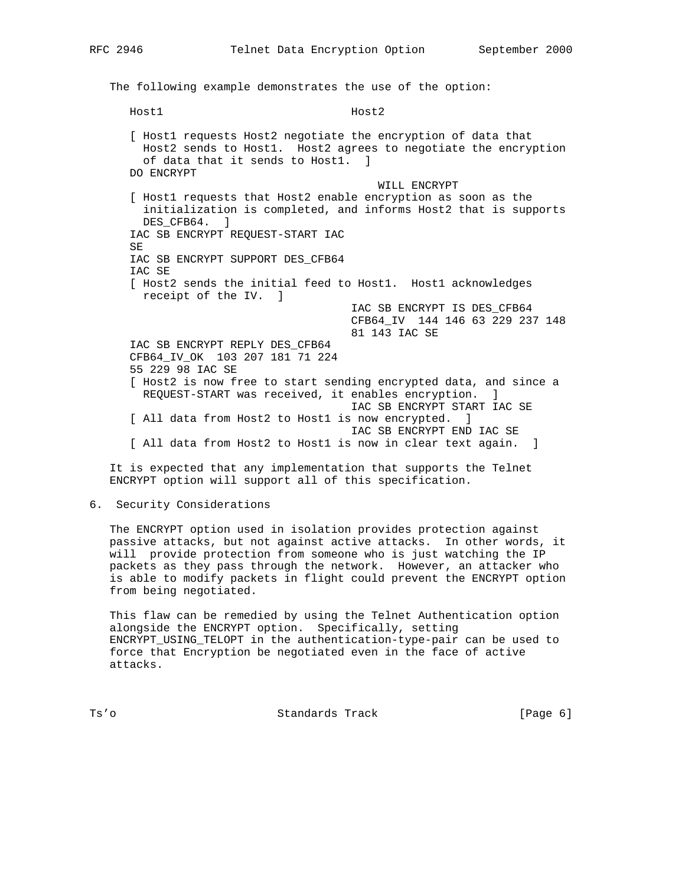RFC 2946 Telnet Data Encryption Option September 2000

 The following example demonstrates the use of the option: Host1 Host2 [ Host1 requests Host2 negotiate the encryption of data that Host2 sends to Host1. Host2 agrees to negotiate the encryption of data that it sends to Host1. ] DO ENCRYPT WILL ENCRYPT [ Host1 requests that Host2 enable encryption as soon as the initialization is completed, and informs Host2 that is supports DES CFB64. ] IAC SB ENCRYPT REQUEST-START IAC SE IAC SB ENCRYPT SUPPORT DES\_CFB64 IAC SE [ Host2 sends the initial feed to Host1. Host1 acknowledges receipt of the IV. ] IAC SB ENCRYPT IS DES\_CFB64 CFB64\_IV 144 146 63 229 237 148 81 143 IAC SE IAC SB ENCRYPT REPLY DES\_CFB64 CFB64\_IV\_OK 103 207 181 71 224 55 229 98 IAC SE [ Host2 is now free to start sending encrypted data, and since a REQUEST-START was received, it enables encryption. ] IAC SB ENCRYPT START IAC SE [ All data from Host2 to Host1 is now encrypted. ] IAC SB ENCRYPT END IAC SE [ All data from Host2 to Host1 is now in clear text again. ]

 It is expected that any implementation that supports the Telnet ENCRYPT option will support all of this specification.

6. Security Considerations

 The ENCRYPT option used in isolation provides protection against passive attacks, but not against active attacks. In other words, it will provide protection from someone who is just watching the IP packets as they pass through the network. However, an attacker who is able to modify packets in flight could prevent the ENCRYPT option from being negotiated.

 This flaw can be remedied by using the Telnet Authentication option alongside the ENCRYPT option. Specifically, setting ENCRYPT\_USING\_TELOPT in the authentication-type-pair can be used to force that Encryption be negotiated even in the face of active attacks.

Ts'o Standards Track [Page 6]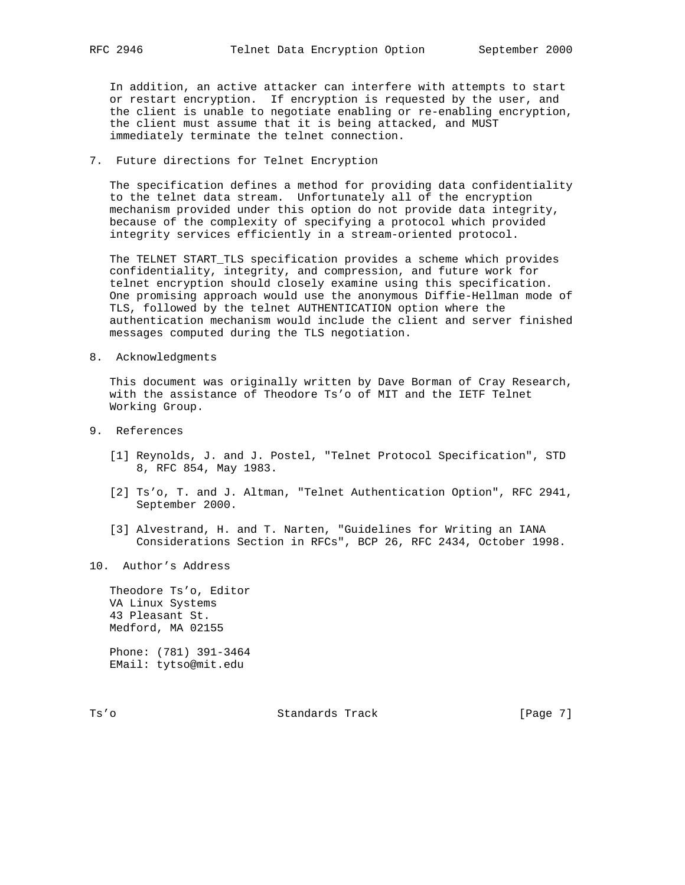In addition, an active attacker can interfere with attempts to start or restart encryption. If encryption is requested by the user, and the client is unable to negotiate enabling or re-enabling encryption, the client must assume that it is being attacked, and MUST immediately terminate the telnet connection.

7. Future directions for Telnet Encryption

 The specification defines a method for providing data confidentiality to the telnet data stream. Unfortunately all of the encryption mechanism provided under this option do not provide data integrity, because of the complexity of specifying a protocol which provided integrity services efficiently in a stream-oriented protocol.

 The TELNET START\_TLS specification provides a scheme which provides confidentiality, integrity, and compression, and future work for telnet encryption should closely examine using this specification. One promising approach would use the anonymous Diffie-Hellman mode of TLS, followed by the telnet AUTHENTICATION option where the authentication mechanism would include the client and server finished messages computed during the TLS negotiation.

8. Acknowledgments

 This document was originally written by Dave Borman of Cray Research, with the assistance of Theodore Ts'o of MIT and the IETF Telnet Working Group.

- 9. References
	- [1] Reynolds, J. and J. Postel, "Telnet Protocol Specification", STD 8, RFC 854, May 1983.
	- [2] Ts'o, T. and J. Altman, "Telnet Authentication Option", RFC 2941, September 2000.
	- [3] Alvestrand, H. and T. Narten, "Guidelines for Writing an IANA Considerations Section in RFCs", BCP 26, RFC 2434, October 1998.
- 10. Author's Address

 Theodore Ts'o, Editor VA Linux Systems 43 Pleasant St. Medford, MA 02155

 Phone: (781) 391-3464 EMail: tytso@mit.edu

Ts'o Standards Track [Page 7]